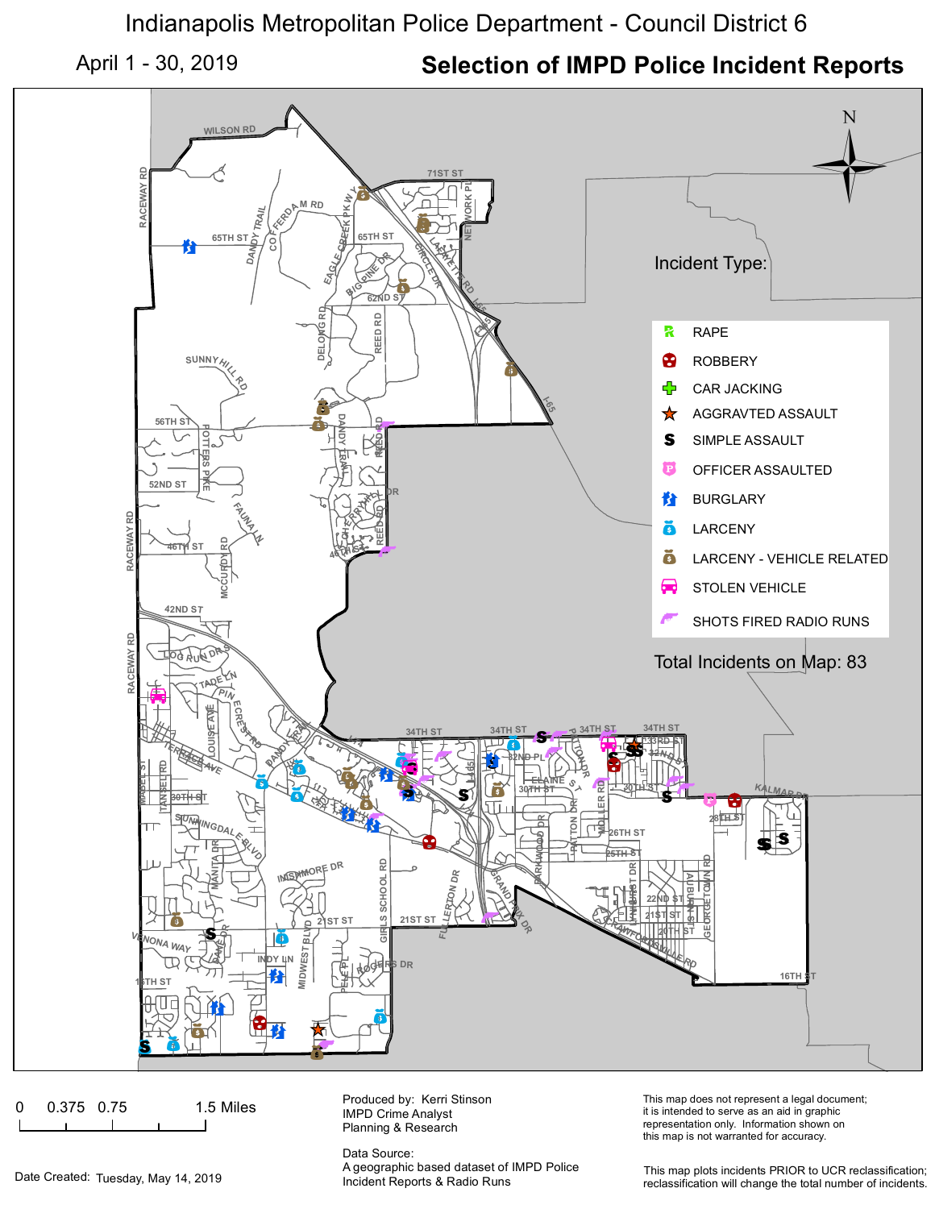Indianapolis Metropolitan Police Department - Council District 6

April 1 - 30, 2019 **Selection of IMPD Police Incident Reports**



0 0.375 0.75 1.5 Miles

Produced by: Kerri Stinson IMPD Crime Analyst Planning & Research

Data Source: A geographic based dataset of IMPD Police This map does not represent a legal document; it is intended to serve as an aid in graphic representation only. Information shown on this map is not warranted for accuracy.

Date Created: Tuesday, May 14, 2019 **Incident Reports & Radio Runs** 

This map plots incidents PRIOR to UCR reclassification; reclassification will change the total number of incidents.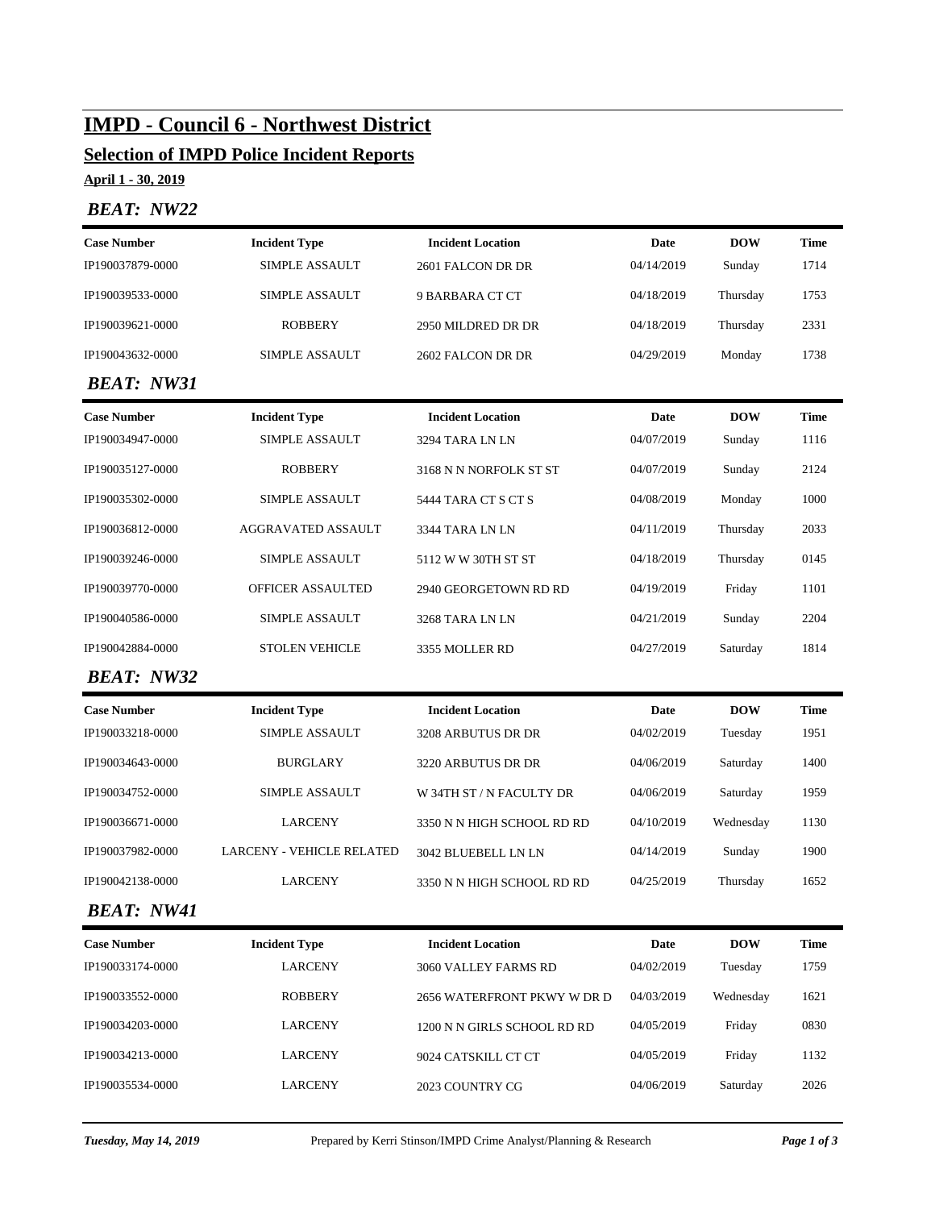# **IMPD - Council 6 - Northwest District**

# **Selection of IMPD Police Incident Reports**

**April 1 - 30, 2019**

## *BEAT: NW22*

| <b>Case Number</b>                        | <b>Incident Type</b><br><b>Incident Location</b>        |                                          | Date       | <b>DOW</b> | <b>Time</b> |
|-------------------------------------------|---------------------------------------------------------|------------------------------------------|------------|------------|-------------|
| IP190037879-0000                          | <b>SIMPLE ASSAULT</b>                                   | 2601 FALCON DR DR                        | 04/14/2019 | Sunday     | 1714        |
| IP190039533-0000<br><b>SIMPLE ASSAULT</b> |                                                         | 9 BARBARA CT CT                          | 04/18/2019 | Thursday   | 1753        |
| IP190039621-0000                          | <b>ROBBERY</b>                                          | 2950 MILDRED DR DR                       | 04/18/2019 | Thursday   | 2331        |
| IP190043632-0000                          | <b>SIMPLE ASSAULT</b>                                   | 2602 FALCON DR DR                        | 04/29/2019 | Monday     | 1738        |
| <b>BEAT: NW31</b>                         |                                                         |                                          |            |            |             |
| <b>Case Number</b>                        | <b>Incident Type</b>                                    | <b>Incident Location</b>                 | Date       | <b>DOW</b> | <b>Time</b> |
| IP190034947-0000                          | <b>SIMPLE ASSAULT</b>                                   | 3294 TARA LN LN                          | 04/07/2019 | Sunday     | 1116        |
| IP190035127-0000                          | <b>ROBBERY</b>                                          | 3168 N N NORFOLK ST ST                   | 04/07/2019 | Sunday     | 2124        |
| IP190035302-0000                          | <b>SIMPLE ASSAULT</b>                                   | 5444 TARA CT S CT S                      | 04/08/2019 | Monday     | 1000        |
| IP190036812-0000                          | AGGRAVATED ASSAULT                                      | 3344 TARA LN LN                          | 04/11/2019 | Thursday   | 2033        |
| IP190039246-0000                          | <b>SIMPLE ASSAULT</b>                                   | 5112 W W 30TH ST ST                      | 04/18/2019 | Thursday   | 0145        |
| IP190039770-0000<br>OFFICER ASSAULTED     |                                                         | 2940 GEORGETOWN RD RD                    | 04/19/2019 | Friday     | 1101        |
| IP190040586-0000<br><b>SIMPLE ASSAULT</b> |                                                         | 04/21/2019<br>3268 TARA LN LN            |            | Sunday     | 2204        |
| <b>STOLEN VEHICLE</b><br>IP190042884-0000 |                                                         | 3355 MOLLER RD                           | 04/27/2019 | Saturday   | 1814        |
| <b>BEAT: NW32</b>                         |                                                         |                                          |            |            |             |
| <b>Case Number</b>                        | <b>Incident Type</b>                                    | <b>Incident Location</b>                 | Date       | <b>DOW</b> | <b>Time</b> |
| IP190033218-0000                          | <b>SIMPLE ASSAULT</b><br>3208 ARBUTUS DR DR             |                                          | 04/02/2019 | Tuesday    | 1951        |
| IP190034643-0000                          | <b>BURGLARY</b>                                         | 3220 ARBUTUS DR DR                       | 04/06/2019 | Saturday   | 1400        |
| IP190034752-0000                          | <b>SIMPLE ASSAULT</b>                                   | W 34TH ST / N FACULTY DR                 | 04/06/2019 | Saturday   | 1959        |
| IP190036671-0000                          | <b>LARCENY</b>                                          | 04/10/2019<br>3350 N N HIGH SCHOOL RD RD |            | Wednesday  | 1130        |
| IP190037982-0000                          | <b>LARCENY - VEHICLE RELATED</b><br>3042 BLUEBELL LN LN |                                          | 04/14/2019 | Sunday     | 1900        |
| IP190042138-0000<br><b>LARCENY</b>        |                                                         | 3350 N N HIGH SCHOOL RD RD               | 04/25/2019 | Thursday   | 1652        |
| <b>BEAT: NW41</b>                         |                                                         |                                          |            |            |             |
| <b>Case Number</b>                        | <b>Incident Type</b>                                    | <b>Incident Location</b>                 | Date       | <b>DOW</b> | <b>Time</b> |
| IP190033174-0000                          | <b>LARCENY</b>                                          | 3060 VALLEY FARMS RD                     | 04/02/2019 | Tuesday    | 1759        |
| IP190033552-0000<br><b>ROBBERY</b>        |                                                         | 2656 WATERFRONT PKWY W DR D              | 04/03/2019 | Wednesday  | 1621        |
| <b>LARCENY</b><br>IP190034203-0000        |                                                         | 1200 N N GIRLS SCHOOL RD RD              | 04/05/2019 | Friday     | 0830        |
| IP190034213-0000                          | <b>LARCENY</b>                                          | 9024 CATSKILL CT CT                      | 04/05/2019 | Friday     | 1132        |
| IP190035534-0000<br><b>LARCENY</b>        |                                                         | 2023 COUNTRY CG                          | 04/06/2019 | Saturday   | 2026        |
|                                           |                                                         |                                          |            |            |             |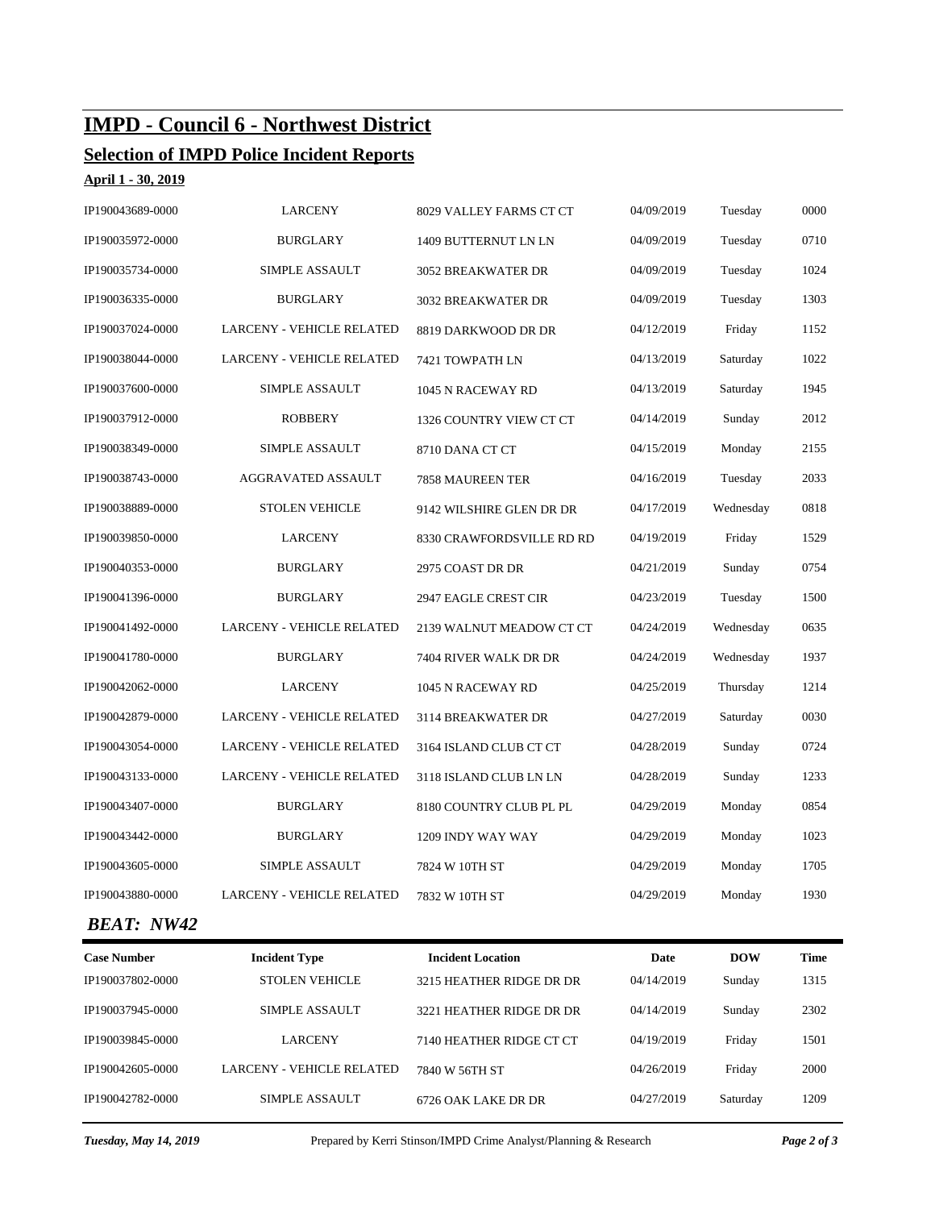# **IMPD - Council 6 - Northwest District**

## **Selection of IMPD Police Incident Reports**

**April 1 - 30, 2019**

| IP190043689-0000  | <b>LARCENY</b>                   | 8029 VALLEY FARMS CT CT   | 04/09/2019 | Tuesday   | 0000 |
|-------------------|----------------------------------|---------------------------|------------|-----------|------|
| IP190035972-0000  | <b>BURGLARY</b>                  | 1409 BUTTERNUT LN LN      | 04/09/2019 | Tuesday   | 0710 |
| IP190035734-0000  | <b>SIMPLE ASSAULT</b>            | <b>3052 BREAKWATER DR</b> | 04/09/2019 | Tuesday   | 1024 |
| IP190036335-0000  | <b>BURGLARY</b>                  | 3032 BREAKWATER DR        | 04/09/2019 | Tuesday   | 1303 |
| IP190037024-0000  | <b>LARCENY - VEHICLE RELATED</b> | 8819 DARKWOOD DR DR       | 04/12/2019 | Friday    | 1152 |
| IP190038044-0000  | LARCENY - VEHICLE RELATED        | 7421 TOWPATH LN           | 04/13/2019 | Saturday  | 1022 |
| IP190037600-0000  | <b>SIMPLE ASSAULT</b>            | 1045 N RACEWAY RD         | 04/13/2019 | Saturday  | 1945 |
| IP190037912-0000  | <b>ROBBERY</b>                   | 1326 COUNTRY VIEW CT CT   | 04/14/2019 | Sunday    | 2012 |
| IP190038349-0000  | <b>SIMPLE ASSAULT</b>            | 8710 DANA CT CT           | 04/15/2019 | Monday    | 2155 |
| IP190038743-0000  | AGGRAVATED ASSAULT               | 7858 MAUREEN TER          | 04/16/2019 | Tuesday   | 2033 |
| IP190038889-0000  | <b>STOLEN VEHICLE</b>            | 9142 WILSHIRE GLEN DR DR  | 04/17/2019 | Wednesday | 0818 |
| IP190039850-0000  | <b>LARCENY</b>                   | 8330 CRAWFORDSVILLE RD RD | 04/19/2019 | Friday    | 1529 |
| IP190040353-0000  | <b>BURGLARY</b>                  | 2975 COAST DR DR          | 04/21/2019 | Sunday    | 0754 |
| IP190041396-0000  | <b>BURGLARY</b>                  | 2947 EAGLE CREST CIR      | 04/23/2019 | Tuesday   | 1500 |
| IP190041492-0000  | <b>LARCENY - VEHICLE RELATED</b> | 2139 WALNUT MEADOW CT CT  | 04/24/2019 | Wednesday | 0635 |
| IP190041780-0000  | <b>BURGLARY</b>                  | 7404 RIVER WALK DR DR     | 04/24/2019 | Wednesday | 1937 |
| IP190042062-0000  | <b>LARCENY</b>                   | 1045 N RACEWAY RD         | 04/25/2019 | Thursday  | 1214 |
| IP190042879-0000  | <b>LARCENY - VEHICLE RELATED</b> | 3114 BREAKWATER DR        | 04/27/2019 | Saturday  | 0030 |
| IP190043054-0000  | <b>LARCENY - VEHICLE RELATED</b> | 3164 ISLAND CLUB CT CT    | 04/28/2019 | Sunday    | 0724 |
| IP190043133-0000  | <b>LARCENY - VEHICLE RELATED</b> | 3118 ISLAND CLUB LN LN    | 04/28/2019 | Sunday    | 1233 |
| IP190043407-0000  | <b>BURGLARY</b>                  | 8180 COUNTRY CLUB PL PL   | 04/29/2019 | Monday    | 0854 |
| IP190043442-0000  | <b>BURGLARY</b>                  | 1209 INDY WAY WAY         | 04/29/2019 | Monday    | 1023 |
| IP190043605-0000  | <b>SIMPLE ASSAULT</b>            | 7824 W 10TH ST            | 04/29/2019 | Monday    | 1705 |
| IP190043880-0000  | <b>LARCENY - VEHICLE RELATED</b> | 7832 W 10TH ST            | 04/29/2019 | Monday    | 1930 |
| <b>BEAT: NW42</b> |                                  |                           |            |           |      |
|                   |                                  |                           |            |           |      |

| <b>Case Number</b> | <b>Incident Type</b>      | <b>Incident Location</b> | Date       | <b>DOW</b> | <b>Time</b> |
|--------------------|---------------------------|--------------------------|------------|------------|-------------|
| IP190037802-0000   | <b>STOLEN VEHICLE</b>     | 3215 HEATHER RIDGE DR DR | 04/14/2019 | Sunday     | 1315        |
| IP190037945-0000   | SIMPLE ASSAULT            | 3221 HEATHER RIDGE DR DR | 04/14/2019 | Sunday     | 2302        |
| IP190039845-0000   | <b>LARCENY</b>            | 7140 HEATHER RIDGE CT CT | 04/19/2019 | Friday     | 1501        |
| IP190042605-0000   | LARCENY - VEHICLE RELATED | 7840 W 56TH ST           | 04/26/2019 | Friday     | 2000        |
| IP190042782-0000   | SIMPLE ASSAULT            | 6726 OAK LAKE DR DR      | 04/27/2019 | Saturday   | 1209        |

*Tuesday, May 14, 2019* Prepared by Kerri Stinson/IMPD Crime Analyst/Planning & Research *Page 2 of 3*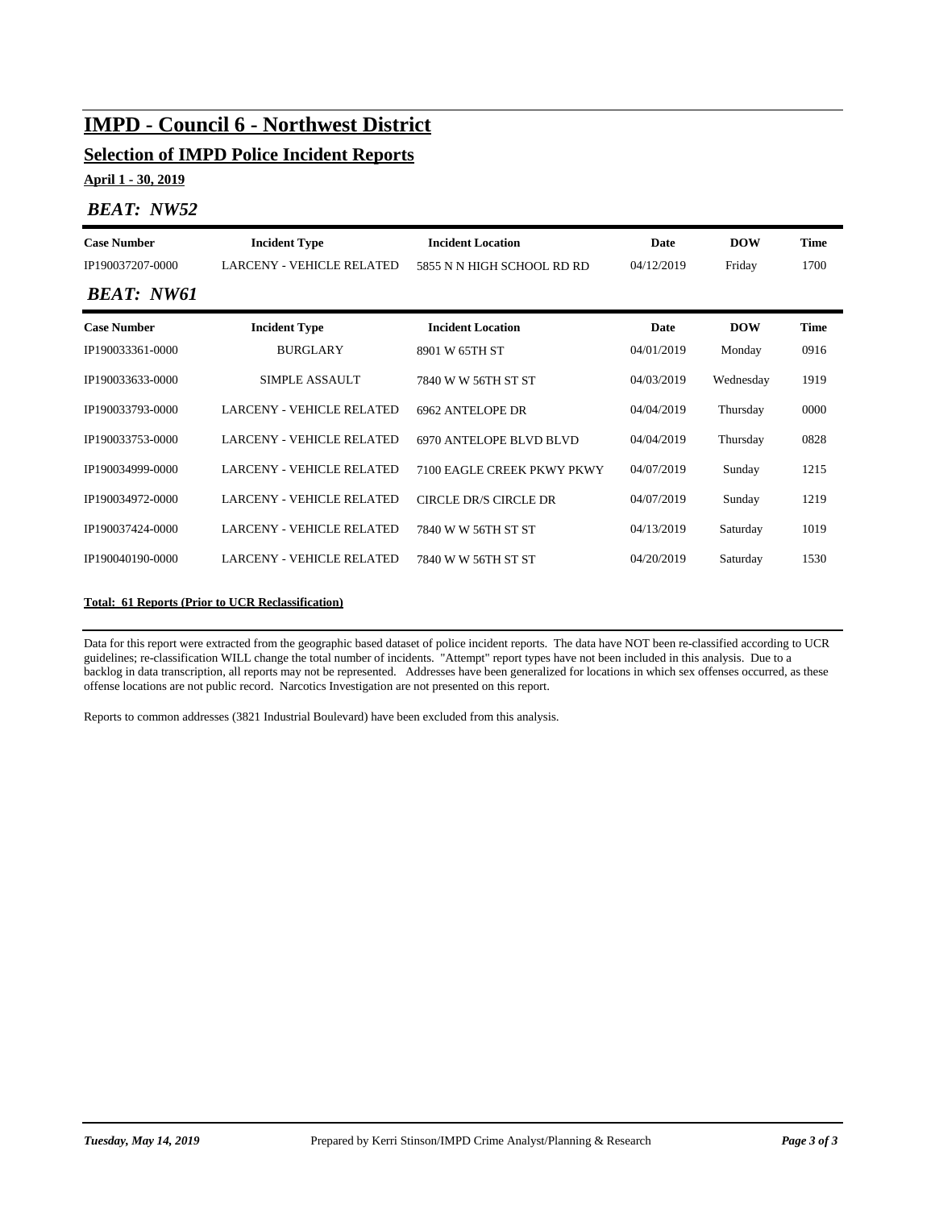# **IMPD - Council 6 - Northwest District**

## **Selection of IMPD Police Incident Reports**

**April 1 - 30, 2019**

### *BEAT: NW52*

| <b>Case Number</b><br><b>Incident Type</b>           |                                  | <b>Incident Location</b>     | Date       | <b>DOW</b> | <b>Time</b> |  |
|------------------------------------------------------|----------------------------------|------------------------------|------------|------------|-------------|--|
| IP190037207-0000<br><b>LARCENY - VEHICLE RELATED</b> |                                  | 5855 N N HIGH SCHOOL RD RD   | 04/12/2019 | Friday     | 1700        |  |
| <b>BEAT: NW61</b>                                    |                                  |                              |            |            |             |  |
| <b>Case Number</b>                                   | <b>Incident Type</b>             | <b>Incident Location</b>     | Date       | <b>DOW</b> | <b>Time</b> |  |
| IP190033361-0000                                     | <b>BURGLARY</b>                  | 8901 W 65TH ST               | 04/01/2019 | Monday     | 0916        |  |
| IP190033633-0000                                     | SIMPLE ASSAULT                   | 7840 W W 56TH ST ST          | 04/03/2019 | Wednesday  | 1919        |  |
| IP190033793-0000                                     | <b>LARCENY - VEHICLE RELATED</b> | 6962 ANTELOPE DR             | 04/04/2019 | Thursday   | 0000        |  |
| IP190033753-0000                                     | <b>LARCENY - VEHICLE RELATED</b> | 6970 ANTELOPE BLVD BLVD      | 04/04/2019 | Thursday   | 0828        |  |
| IP190034999-0000                                     | <b>LARCENY - VEHICLE RELATED</b> | 7100 EAGLE CREEK PKWY PKWY   | 04/07/2019 | Sunday     | 1215        |  |
| IP190034972-0000                                     | <b>LARCENY - VEHICLE RELATED</b> | <b>CIRCLE DR/S CIRCLE DR</b> | 04/07/2019 | Sunday     | 1219        |  |
| IP190037424-0000                                     | <b>LARCENY - VEHICLE RELATED</b> | 7840 W W 56TH ST ST          | 04/13/2019 | Saturday   | 1019        |  |
| <b>LARCENY - VEHICLE RELATED</b><br>IP190040190-0000 |                                  | 7840 W W 56TH ST ST          | 04/20/2019 | Saturday   | 1530        |  |
|                                                      |                                  |                              |            |            |             |  |

#### **Total: 61 Reports (Prior to UCR Reclassification)**

Data for this report were extracted from the geographic based dataset of police incident reports. The data have NOT been re-classified according to UCR guidelines; re-classification WILL change the total number of incidents. "Attempt" report types have not been included in this analysis. Due to a backlog in data transcription, all reports may not be represented. Addresses have been generalized for locations in which sex offenses occurred, as these offense locations are not public record. Narcotics Investigation are not presented on this report.

Reports to common addresses (3821 Industrial Boulevard) have been excluded from this analysis.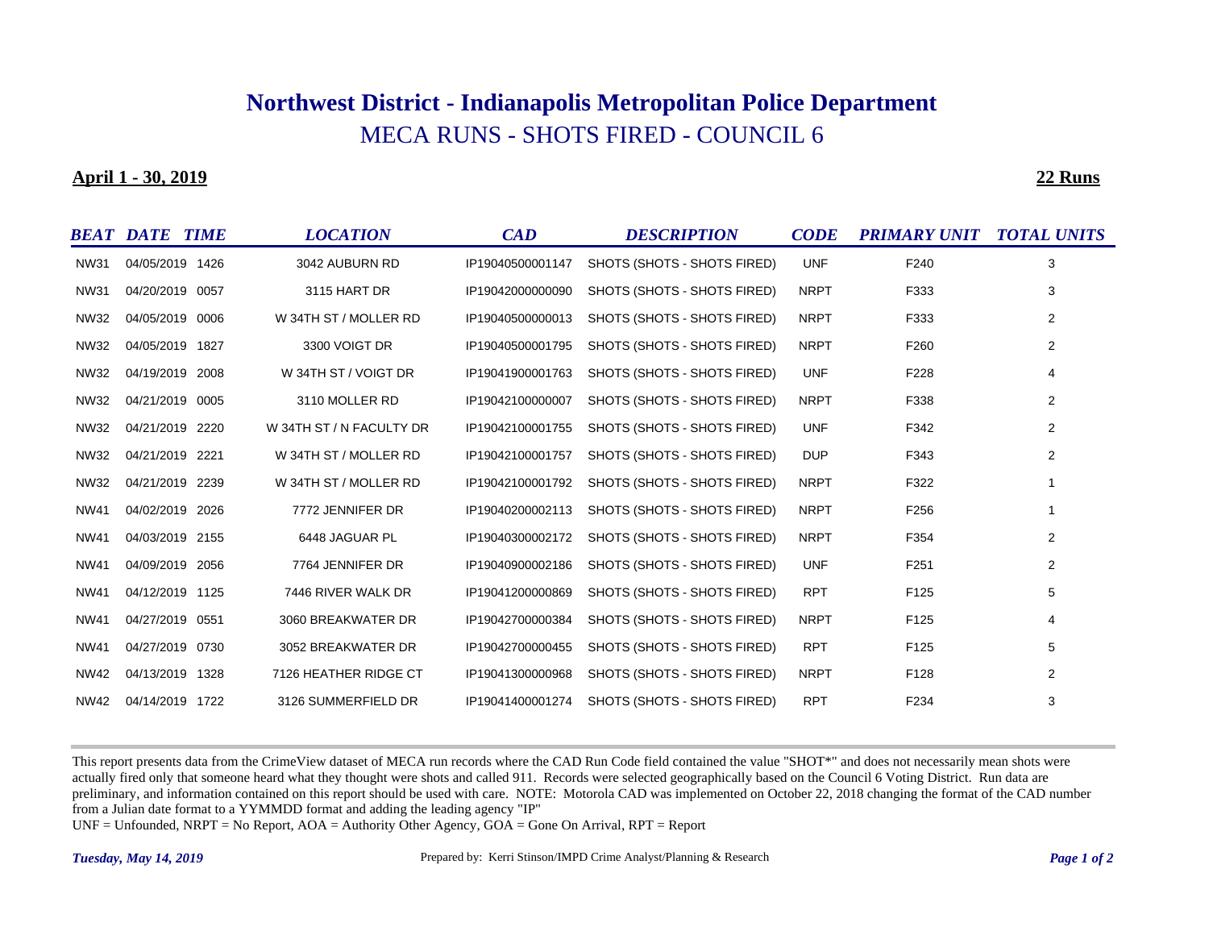# MECA RUNS - SHOTS FIRED - COUNCIL 6 **Northwest District - Indianapolis Metropolitan Police Department**

#### **April 1 - 30, 2019**

**22 Runs**

|             | <b>BEAT DATE TIME</b> | <b>LOCATION</b>          | CAD              | <b>DESCRIPTION</b>          | <b>CODE</b> | <b>PRIMARY UNIT TOTAL UNITS</b> |   |
|-------------|-----------------------|--------------------------|------------------|-----------------------------|-------------|---------------------------------|---|
| <b>NW31</b> | 04/05/2019 1426       | 3042 AUBURN RD           | IP19040500001147 | SHOTS (SHOTS - SHOTS FIRED) | <b>UNF</b>  | F240                            | 3 |
| <b>NW31</b> | 04/20/2019 0057       | 3115 HART DR             | IP19042000000090 | SHOTS (SHOTS - SHOTS FIRED) | <b>NRPT</b> | F333                            | 3 |
| <b>NW32</b> | 04/05/2019 0006       | W 34TH ST / MOLLER RD    | IP19040500000013 | SHOTS (SHOTS - SHOTS FIRED) | <b>NRPT</b> | F333                            | 2 |
| <b>NW32</b> | 04/05/2019 1827       | 3300 VOIGT DR            | IP19040500001795 | SHOTS (SHOTS - SHOTS FIRED) | <b>NRPT</b> | F260                            | 2 |
| <b>NW32</b> | 04/19/2019 2008       | W 34TH ST / VOIGT DR     | IP19041900001763 | SHOTS (SHOTS - SHOTS FIRED) | <b>UNF</b>  | F228                            | 4 |
| <b>NW32</b> | 04/21/2019 0005       | 3110 MOLLER RD           | IP19042100000007 | SHOTS (SHOTS - SHOTS FIRED) | <b>NRPT</b> | F338                            | 2 |
| <b>NW32</b> | 04/21/2019 2220       | W 34TH ST / N FACULTY DR | IP19042100001755 | SHOTS (SHOTS - SHOTS FIRED) | <b>UNF</b>  | F342                            | 2 |
| <b>NW32</b> | 04/21/2019 2221       | W 34TH ST / MOLLER RD    | IP19042100001757 | SHOTS (SHOTS - SHOTS FIRED) | <b>DUP</b>  | F343                            | 2 |
| <b>NW32</b> | 04/21/2019 2239       | W 34TH ST / MOLLER RD    | IP19042100001792 | SHOTS (SHOTS - SHOTS FIRED) | <b>NRPT</b> | F322                            |   |
| <b>NW41</b> | 04/02/2019 2026       | 7772 JENNIFER DR         | IP19040200002113 | SHOTS (SHOTS - SHOTS FIRED) | <b>NRPT</b> | F256                            |   |
| <b>NW41</b> | 04/03/2019 2155       | 6448 JAGUAR PL           | IP19040300002172 | SHOTS (SHOTS - SHOTS FIRED) | <b>NRPT</b> | F354                            | 2 |
| <b>NW41</b> | 04/09/2019 2056       | 7764 JENNIFER DR         | IP19040900002186 | SHOTS (SHOTS - SHOTS FIRED) | <b>UNF</b>  | F251                            | 2 |
| <b>NW41</b> | 04/12/2019 1125       | 7446 RIVER WALK DR       | IP19041200000869 | SHOTS (SHOTS - SHOTS FIRED) | <b>RPT</b>  | F125                            | 5 |
| <b>NW41</b> | 04/27/2019 0551       | 3060 BREAKWATER DR       | IP19042700000384 | SHOTS (SHOTS - SHOTS FIRED) | <b>NRPT</b> | F125                            | 4 |
| <b>NW41</b> | 04/27/2019 0730       | 3052 BREAKWATER DR       | IP19042700000455 | SHOTS (SHOTS - SHOTS FIRED) | <b>RPT</b>  | F125                            | 5 |
| <b>NW42</b> | 04/13/2019 1328       | 7126 HEATHER RIDGE CT    | IP19041300000968 | SHOTS (SHOTS - SHOTS FIRED) | <b>NRPT</b> | F128                            | 2 |
| NW42        | 04/14/2019 1722       | 3126 SUMMERFIELD DR      | IP19041400001274 | SHOTS (SHOTS - SHOTS FIRED) | <b>RPT</b>  | F234                            | 3 |

This report presents data from the CrimeView dataset of MECA run records where the CAD Run Code field contained the value "SHOT\*" and does not necessarily mean shots were actually fired only that someone heard what they thought were shots and called 911. Records were selected geographically based on the Council 6 Voting District. Run data are preliminary, and information contained on this report should be used with care. NOTE: Motorola CAD was implemented on October 22, 2018 changing the format of the CAD number from a Julian date format to a YYMMDD format and adding the leading agency "IP"

UNF = Unfounded, NRPT = No Report, AOA = Authority Other Agency, GOA = Gone On Arrival, RPT = Report